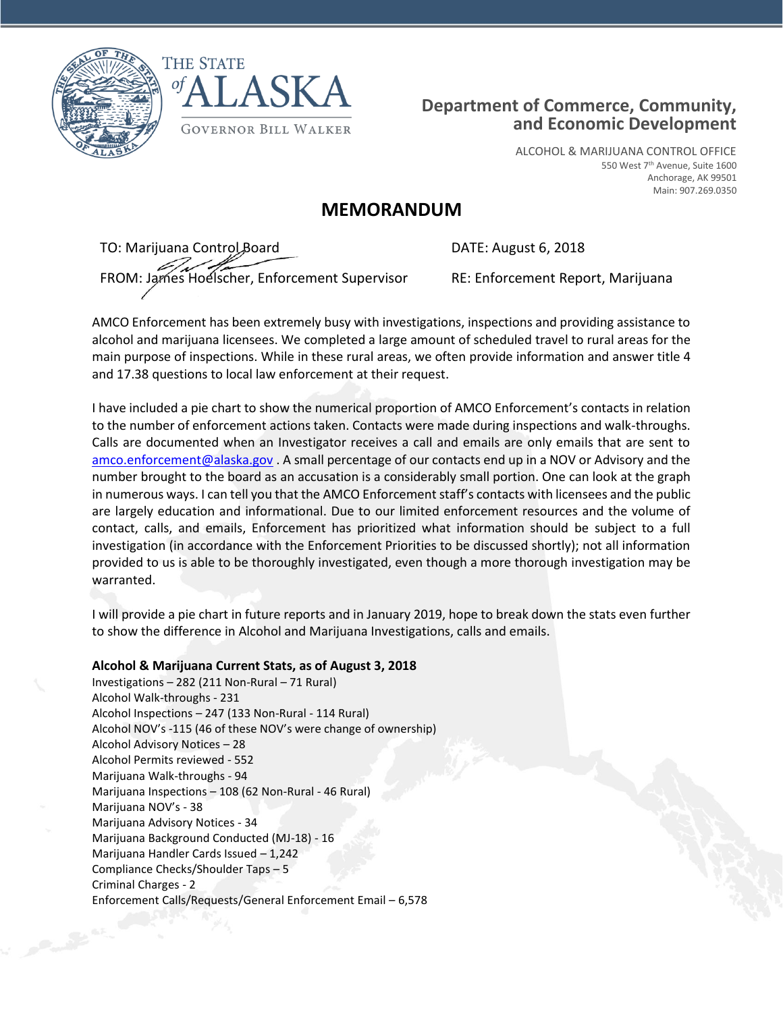



## **Department of Commerce, Community, and Economic Development**

ALCOHOL & MARIJUANA CONTROL OFFICE 550 West 7th Avenue, Suite 1600 Anchorage, AK 99501 Main: 907.269.0350

## **MEMORANDUM**

TO: Marijuana Control Board **DATE: August 6, 2018** FROM: James Hoelscher, Enforcement Supervisor RE: Enforcement Report, Marijuana

AMCO Enforcement has been extremely busy with investigations, inspections and providing assistance to alcohol and marijuana licensees. We completed a large amount of scheduled travel to rural areas for the main purpose of inspections. While in these rural areas, we often provide information and answer title 4 and 17.38 questions to local law enforcement at their request.

I have included a pie chart to show the numerical proportion of AMCO Enforcement's contacts in relation to the number of enforcement actions taken. Contacts were made during inspections and walk-throughs. Calls are documented when an Investigator receives a call and emails are only emails that are sent to [amco.enforcement@alaska.gov](mailto:amco.enforcement@alaska.gov) . A small percentage of our contacts end up in a NOV or Advisory and the number brought to the board as an accusation is a considerably small portion. One can look at the graph in numerous ways. I can tell you that the AMCO Enforcement staff's contacts with licensees and the public are largely education and informational. Due to our limited enforcement resources and the volume of contact, calls, and emails, Enforcement has prioritized what information should be subject to a full investigation (in accordance with the Enforcement Priorities to be discussed shortly); not all information provided to us is able to be thoroughly investigated, even though a more thorough investigation may be warranted.

I will provide a pie chart in future reports and in January 2019, hope to break down the stats even further to show the difference in Alcohol and Marijuana Investigations, calls and emails.

**Alcohol & Marijuana Current Stats, as of August 3, 2018** Investigations – 282 (211 Non-Rural – 71 Rural) Alcohol Walk-throughs - 231 Alcohol Inspections – 247 (133 Non-Rural - 114 Rural) Alcohol NOV's -115 (46 of these NOV's were change of ownership) Alcohol Advisory Notices – 28 Alcohol Permits reviewed - 552 Marijuana Walk-throughs - 94 Marijuana Inspections – 108 (62 Non-Rural - 46 Rural) Marijuana NOV's - 38 Marijuana Advisory Notices - 34 Marijuana Background Conducted (MJ-18) - 16 Marijuana Handler Cards Issued – 1,242 Compliance Checks/Shoulder Taps – 5 Criminal Charges - 2 Enforcement Calls/Requests/General Enforcement Email – 6,578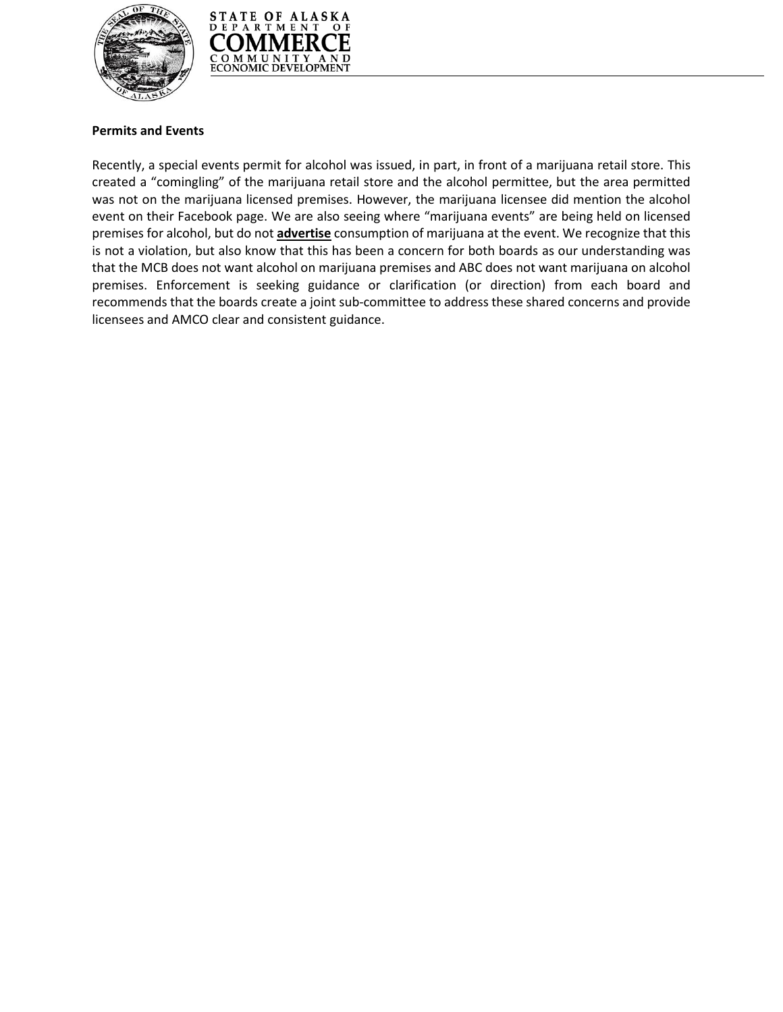



## **Permits and Events**

Recently, a special events permit for alcohol was issued, in part, in front of a marijuana retail store. This created a "comingling" of the marijuana retail store and the alcohol permittee, but the area permitted was not on the marijuana licensed premises. However, the marijuana licensee did mention the alcohol event on their Facebook page. We are also seeing where "marijuana events" are being held on licensed premises for alcohol, but do not **advertise** consumption of marijuana at the event. We recognize that this is not a violation, but also know that this has been a concern for both boards as our understanding was that the MCB does not want alcohol on marijuana premises and ABC does not want marijuana on alcohol premises. Enforcement is seeking guidance or clarification (or direction) from each board and recommends that the boards create a joint sub-committee to address these shared concerns and provide licensees and AMCO clear and consistent guidance.